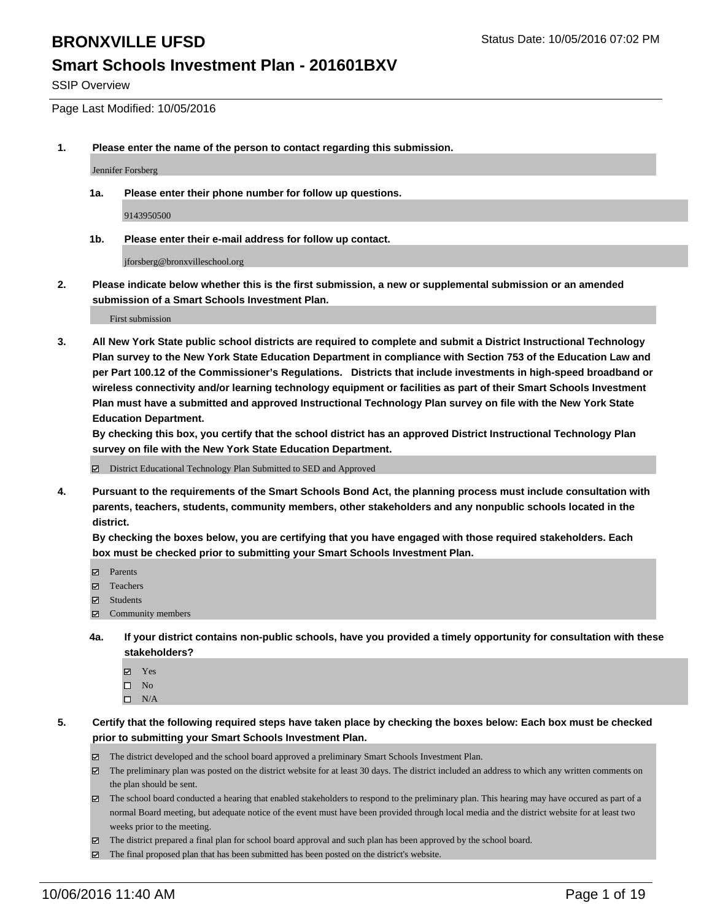SSIP Overview

Page Last Modified: 10/05/2016

**1. Please enter the name of the person to contact regarding this submission.**

Jennifer Forsberg

**1a. Please enter their phone number for follow up questions.**

9143950500

**1b. Please enter their e-mail address for follow up contact.**

jforsberg@bronxvilleschool.org

**2. Please indicate below whether this is the first submission, a new or supplemental submission or an amended submission of a Smart Schools Investment Plan.**

First submission

**3. All New York State public school districts are required to complete and submit a District Instructional Technology Plan survey to the New York State Education Department in compliance with Section 753 of the Education Law and per Part 100.12 of the Commissioner's Regulations. Districts that include investments in high-speed broadband or wireless connectivity and/or learning technology equipment or facilities as part of their Smart Schools Investment Plan must have a submitted and approved Instructional Technology Plan survey on file with the New York State Education Department.** 

**By checking this box, you certify that the school district has an approved District Instructional Technology Plan survey on file with the New York State Education Department.**

District Educational Technology Plan Submitted to SED and Approved

**4. Pursuant to the requirements of the Smart Schools Bond Act, the planning process must include consultation with parents, teachers, students, community members, other stakeholders and any nonpublic schools located in the district.** 

**By checking the boxes below, you are certifying that you have engaged with those required stakeholders. Each box must be checked prior to submitting your Smart Schools Investment Plan.**

- Parents
- Teachers
- $\boxtimes$  Students
- Community members
- **4a. If your district contains non-public schools, have you provided a timely opportunity for consultation with these stakeholders?**
	- Yes  $\square$  No
	- $\square$  N/A
- **5. Certify that the following required steps have taken place by checking the boxes below: Each box must be checked prior to submitting your Smart Schools Investment Plan.**
	- The district developed and the school board approved a preliminary Smart Schools Investment Plan.
	- The preliminary plan was posted on the district website for at least 30 days. The district included an address to which any written comments on the plan should be sent.
	- $\boxtimes$  The school board conducted a hearing that enabled stakeholders to respond to the preliminary plan. This hearing may have occured as part of a normal Board meeting, but adequate notice of the event must have been provided through local media and the district website for at least two weeks prior to the meeting.
	- The district prepared a final plan for school board approval and such plan has been approved by the school board.
	- The final proposed plan that has been submitted has been posted on the district's website.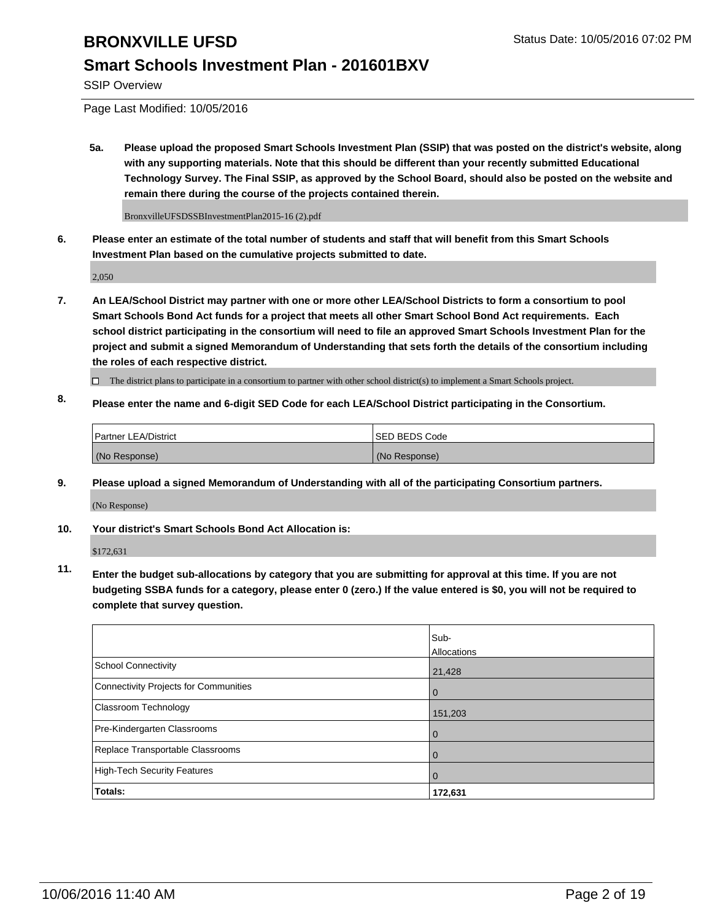## **Smart Schools Investment Plan - 201601BXV**

SSIP Overview

Page Last Modified: 10/05/2016

**5a. Please upload the proposed Smart Schools Investment Plan (SSIP) that was posted on the district's website, along with any supporting materials. Note that this should be different than your recently submitted Educational Technology Survey. The Final SSIP, as approved by the School Board, should also be posted on the website and remain there during the course of the projects contained therein.**

BronxvilleUFSDSSBInvestmentPlan2015-16 (2).pdf

**6. Please enter an estimate of the total number of students and staff that will benefit from this Smart Schools Investment Plan based on the cumulative projects submitted to date.**

2,050

- **7. An LEA/School District may partner with one or more other LEA/School Districts to form a consortium to pool Smart Schools Bond Act funds for a project that meets all other Smart School Bond Act requirements. Each school district participating in the consortium will need to file an approved Smart Schools Investment Plan for the project and submit a signed Memorandum of Understanding that sets forth the details of the consortium including the roles of each respective district.**
	- $\Box$  The district plans to participate in a consortium to partner with other school district(s) to implement a Smart Schools project.
- **8. Please enter the name and 6-digit SED Code for each LEA/School District participating in the Consortium.**

| Partner LEA/District | <b>ISED BEDS Code</b> |
|----------------------|-----------------------|
| (No Response)        | (No Response)         |

**9. Please upload a signed Memorandum of Understanding with all of the participating Consortium partners.**

(No Response)

#### **10. Your district's Smart Schools Bond Act Allocation is:**

\$172,631

**11. Enter the budget sub-allocations by category that you are submitting for approval at this time. If you are not budgeting SSBA funds for a category, please enter 0 (zero.) If the value entered is \$0, you will not be required to complete that survey question.**

|                                       | Sub-<br>Allocations |
|---------------------------------------|---------------------|
| <b>School Connectivity</b>            | 21,428              |
| Connectivity Projects for Communities | $\Omega$            |
| <b>Classroom Technology</b>           | 151,203             |
| Pre-Kindergarten Classrooms           | $\Omega$            |
| Replace Transportable Classrooms      | $\Omega$            |
| High-Tech Security Features           | $\Omega$            |
| Totals:                               | 172,631             |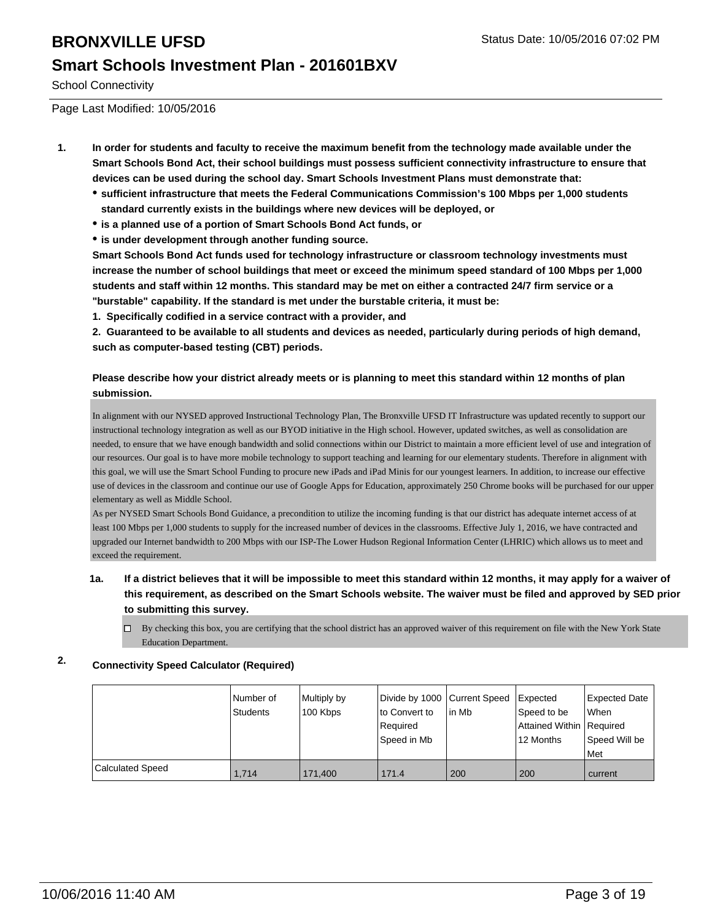## **Smart Schools Investment Plan - 201601BXV**

School Connectivity

Page Last Modified: 10/05/2016

- **1. In order for students and faculty to receive the maximum benefit from the technology made available under the Smart Schools Bond Act, their school buildings must possess sufficient connectivity infrastructure to ensure that devices can be used during the school day. Smart Schools Investment Plans must demonstrate that:**
	- **sufficient infrastructure that meets the Federal Communications Commission's 100 Mbps per 1,000 students standard currently exists in the buildings where new devices will be deployed, or**
	- **is a planned use of a portion of Smart Schools Bond Act funds, or**
	- **is under development through another funding source.**

**Smart Schools Bond Act funds used for technology infrastructure or classroom technology investments must increase the number of school buildings that meet or exceed the minimum speed standard of 100 Mbps per 1,000 students and staff within 12 months. This standard may be met on either a contracted 24/7 firm service or a "burstable" capability. If the standard is met under the burstable criteria, it must be:**

**1. Specifically codified in a service contract with a provider, and**

**2. Guaranteed to be available to all students and devices as needed, particularly during periods of high demand, such as computer-based testing (CBT) periods.**

#### **Please describe how your district already meets or is planning to meet this standard within 12 months of plan submission.**

In alignment with our NYSED approved Instructional Technology Plan, The Bronxville UFSD IT Infrastructure was updated recently to support our instructional technology integration as well as our BYOD initiative in the High school. However, updated switches, as well as consolidation are needed, to ensure that we have enough bandwidth and solid connections within our District to maintain a more efficient level of use and integration of our resources. Our goal is to have more mobile technology to support teaching and learning for our elementary students. Therefore in alignment with this goal, we will use the Smart School Funding to procure new iPads and iPad Minis for our youngest learners. In addition, to increase our effective use of devices in the classroom and continue our use of Google Apps for Education, approximately 250 Chrome books will be purchased for our upper elementary as well as Middle School.

As per NYSED Smart Schools Bond Guidance, a precondition to utilize the incoming funding is that our district has adequate internet access of at least 100 Mbps per 1,000 students to supply for the increased number of devices in the classrooms. Effective July 1, 2016, we have contracted and upgraded our Internet bandwidth to 200 Mbps with our ISP-The Lower Hudson Regional Information Center (LHRIC) which allows us to meet and exceed the requirement.

#### **1a. If a district believes that it will be impossible to meet this standard within 12 months, it may apply for a waiver of this requirement, as described on the Smart Schools website. The waiver must be filed and approved by SED prior to submitting this survey.**

 $\Box$  By checking this box, you are certifying that the school district has an approved waiver of this requirement on file with the New York State Education Department.

#### **2. Connectivity Speed Calculator (Required)**

|                         | Number of<br><b>Students</b> | Multiply by | Divide by 1000 Current Speed<br>to Convert to | lin Mb | Expected                                  | Expected Date<br><b>When</b> |
|-------------------------|------------------------------|-------------|-----------------------------------------------|--------|-------------------------------------------|------------------------------|
|                         |                              | 100 Kbps    | Required                                      |        | Speed to be<br>Attained Within   Required |                              |
|                         |                              |             | Speed in Mb                                   |        | 12 Months                                 | Speed Will be                |
|                         |                              |             |                                               |        |                                           | l Met                        |
| <b>Calculated Speed</b> | 1.714                        | 171.400     | 171.4                                         | 200    | 200                                       | current                      |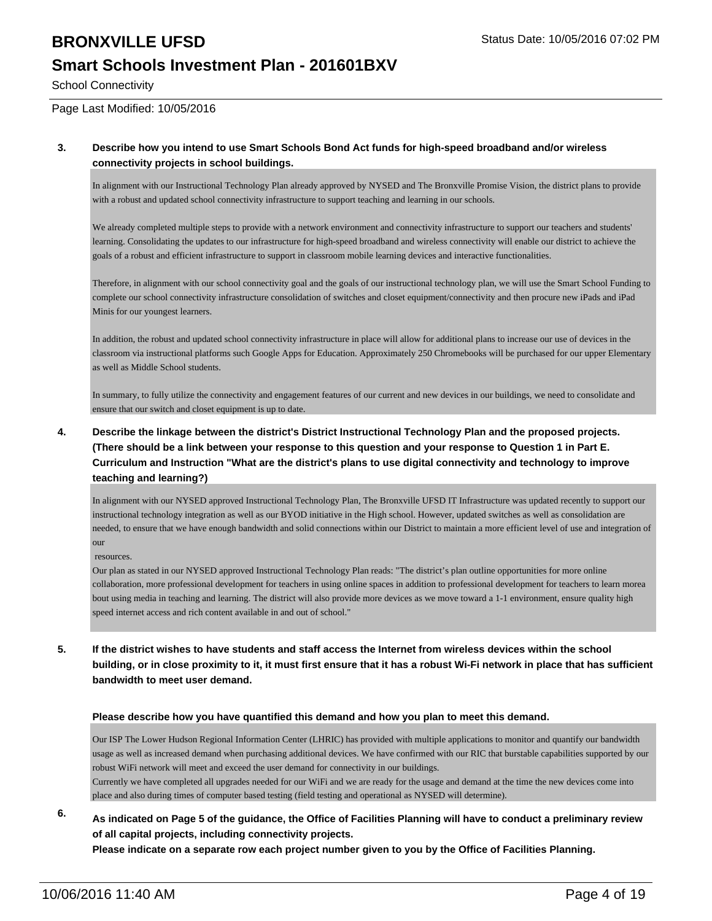School Connectivity

#### Page Last Modified: 10/05/2016

#### **3. Describe how you intend to use Smart Schools Bond Act funds for high-speed broadband and/or wireless connectivity projects in school buildings.**

In alignment with our Instructional Technology Plan already approved by NYSED and The Bronxville Promise Vision, the district plans to provide with a robust and updated school connectivity infrastructure to support teaching and learning in our schools.

We already completed multiple steps to provide with a network environment and connectivity infrastructure to support our teachers and students' learning. Consolidating the updates to our infrastructure for high-speed broadband and wireless connectivity will enable our district to achieve the goals of a robust and efficient infrastructure to support in classroom mobile learning devices and interactive functionalities.

Therefore, in alignment with our school connectivity goal and the goals of our instructional technology plan, we will use the Smart School Funding to complete our school connectivity infrastructure consolidation of switches and closet equipment/connectivity and then procure new iPads and iPad Minis for our youngest learners.

In addition, the robust and updated school connectivity infrastructure in place will allow for additional plans to increase our use of devices in the classroom via instructional platforms such Google Apps for Education. Approximately 250 Chromebooks will be purchased for our upper Elementary as well as Middle School students.

In summary, to fully utilize the connectivity and engagement features of our current and new devices in our buildings, we need to consolidate and ensure that our switch and closet equipment is up to date.

#### **4. Describe the linkage between the district's District Instructional Technology Plan and the proposed projects. (There should be a link between your response to this question and your response to Question 1 in Part E. Curriculum and Instruction "What are the district's plans to use digital connectivity and technology to improve teaching and learning?)**

In alignment with our NYSED approved Instructional Technology Plan, The Bronxville UFSD IT Infrastructure was updated recently to support our instructional technology integration as well as our BYOD initiative in the High school. However, updated switches as well as consolidation are needed, to ensure that we have enough bandwidth and solid connections within our District to maintain a more efficient level of use and integration of our

resources.

Our plan as stated in our NYSED approved Instructional Technology Plan reads: "The district's plan outline opportunities for more online collaboration, more professional development for teachers in using online spaces in addition to professional development for teachers to learn morea bout using media in teaching and learning. The district will also provide more devices as we move toward a 1-1 environment, ensure quality high speed internet access and rich content available in and out of school."

**5. If the district wishes to have students and staff access the Internet from wireless devices within the school building, or in close proximity to it, it must first ensure that it has a robust Wi-Fi network in place that has sufficient bandwidth to meet user demand.**

#### **Please describe how you have quantified this demand and how you plan to meet this demand.**

Our ISP The Lower Hudson Regional Information Center (LHRIC) has provided with multiple applications to monitor and quantify our bandwidth usage as well as increased demand when purchasing additional devices. We have confirmed with our RIC that burstable capabilities supported by our robust WiFi network will meet and exceed the user demand for connectivity in our buildings.

Currently we have completed all upgrades needed for our WiFi and we are ready for the usage and demand at the time the new devices come into place and also during times of computer based testing (field testing and operational as NYSED will determine).

#### **6. As indicated on Page 5 of the guidance, the Office of Facilities Planning will have to conduct a preliminary review of all capital projects, including connectivity projects.**

**Please indicate on a separate row each project number given to you by the Office of Facilities Planning.**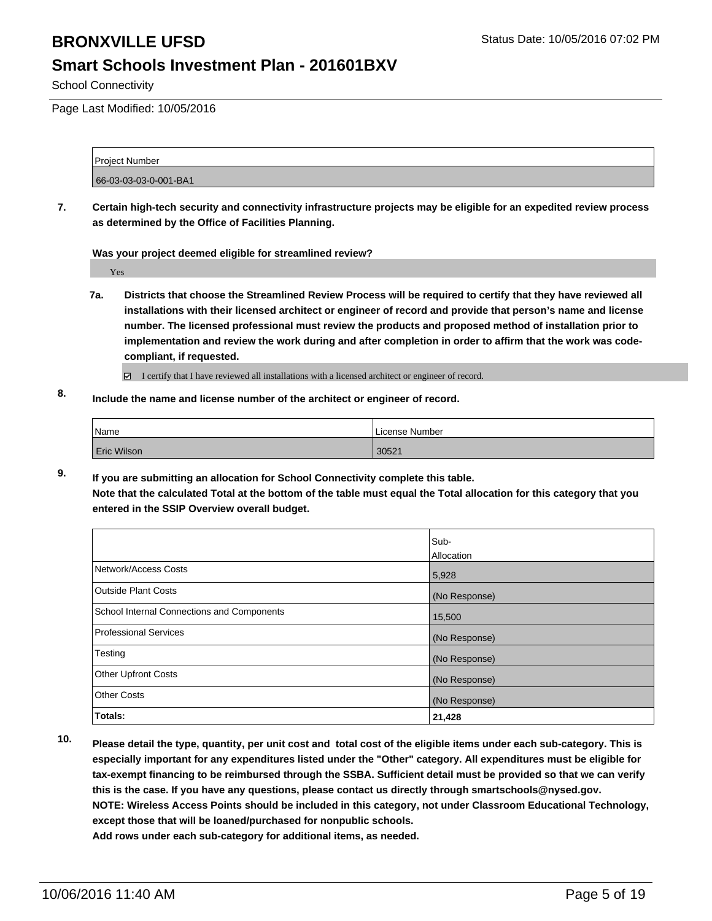## **Smart Schools Investment Plan - 201601BXV**

School Connectivity

Page Last Modified: 10/05/2016

Project Number 66-03-03-03-0-001-BA1

**7. Certain high-tech security and connectivity infrastructure projects may be eligible for an expedited review process as determined by the Office of Facilities Planning.**

**Was your project deemed eligible for streamlined review?**

Yes

**7a. Districts that choose the Streamlined Review Process will be required to certify that they have reviewed all installations with their licensed architect or engineer of record and provide that person's name and license number. The licensed professional must review the products and proposed method of installation prior to implementation and review the work during and after completion in order to affirm that the work was codecompliant, if requested.**

I certify that I have reviewed all installations with a licensed architect or engineer of record.

**8. Include the name and license number of the architect or engineer of record.**

| <sup>1</sup> Name  | I License Number |
|--------------------|------------------|
| <b>Eric Wilson</b> | 30521            |

**9. If you are submitting an allocation for School Connectivity complete this table. Note that the calculated Total at the bottom of the table must equal the Total allocation for this category that you entered in the SSIP Overview overall budget.** 

|                                            | Sub-<br>Allocation |
|--------------------------------------------|--------------------|
| Network/Access Costs                       | 5,928              |
| <b>Outside Plant Costs</b>                 | (No Response)      |
| School Internal Connections and Components | 15,500             |
| <b>Professional Services</b>               | (No Response)      |
| Testing                                    | (No Response)      |
| <b>Other Upfront Costs</b>                 | (No Response)      |
| <b>Other Costs</b>                         | (No Response)      |
| Totals:                                    | 21,428             |

**10. Please detail the type, quantity, per unit cost and total cost of the eligible items under each sub-category. This is especially important for any expenditures listed under the "Other" category. All expenditures must be eligible for tax-exempt financing to be reimbursed through the SSBA. Sufficient detail must be provided so that we can verify this is the case. If you have any questions, please contact us directly through smartschools@nysed.gov. NOTE: Wireless Access Points should be included in this category, not under Classroom Educational Technology, except those that will be loaned/purchased for nonpublic schools.**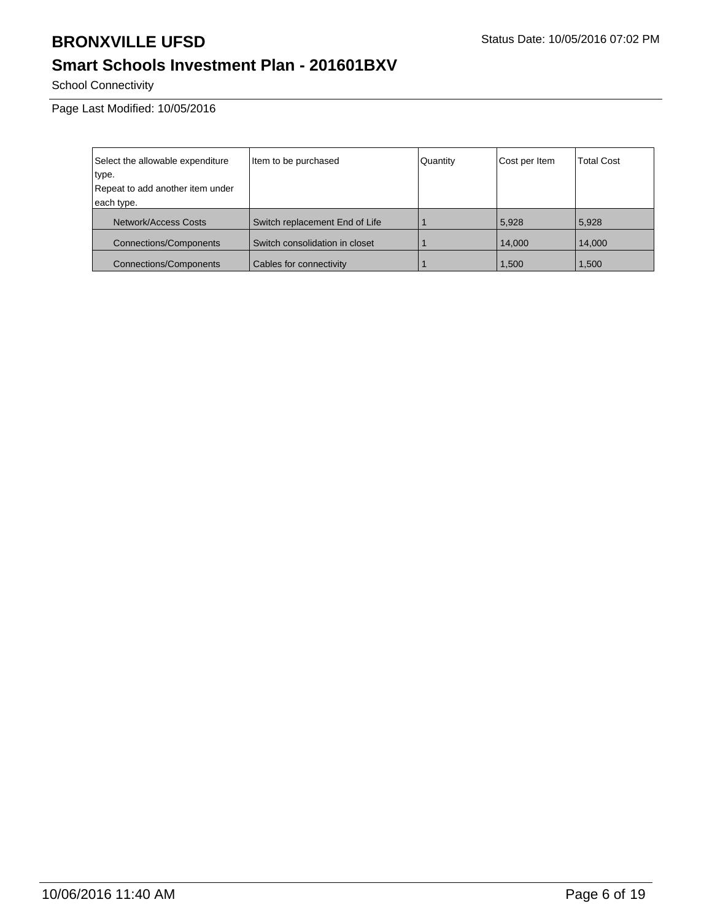# **Smart Schools Investment Plan - 201601BXV**

School Connectivity

Page Last Modified: 10/05/2016

| Select the allowable expenditure | Item to be purchased           | Quantity | Cost per Item | <b>Total Cost</b> |
|----------------------------------|--------------------------------|----------|---------------|-------------------|
| type.                            |                                |          |               |                   |
| Repeat to add another item under |                                |          |               |                   |
| each type.                       |                                |          |               |                   |
| Network/Access Costs             | Switch replacement End of Life |          | 5,928         | 5.928             |
| <b>Connections/Components</b>    | Switch consolidation in closet |          | 14,000        | 14,000            |
| <b>Connections/Components</b>    | Cables for connectivity        |          | 1,500         | 1,500             |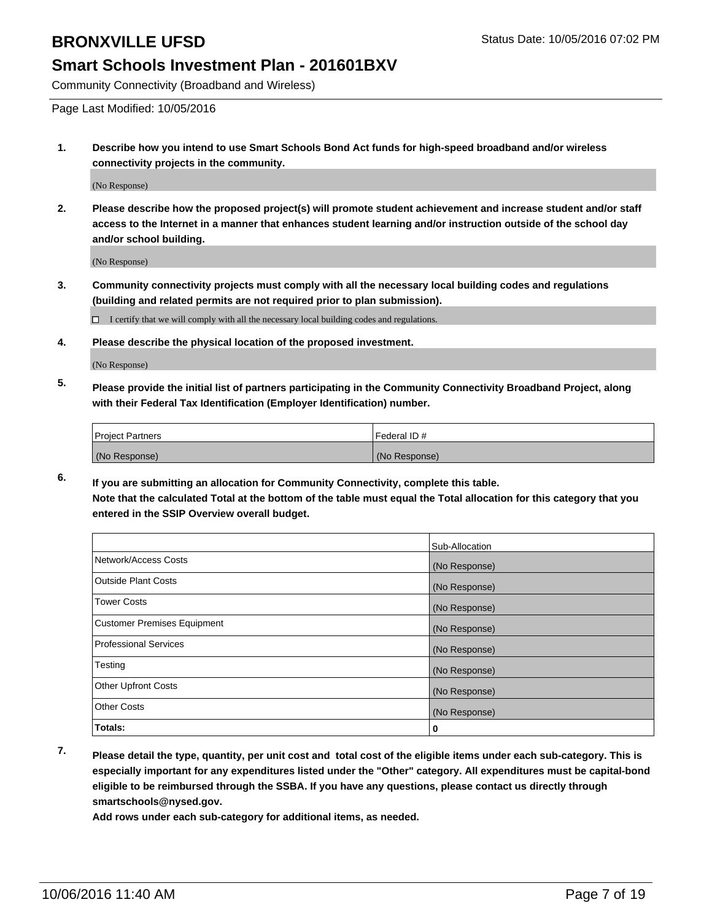## **Smart Schools Investment Plan - 201601BXV**

Community Connectivity (Broadband and Wireless)

Page Last Modified: 10/05/2016

**1. Describe how you intend to use Smart Schools Bond Act funds for high-speed broadband and/or wireless connectivity projects in the community.**

(No Response)

**2. Please describe how the proposed project(s) will promote student achievement and increase student and/or staff access to the Internet in a manner that enhances student learning and/or instruction outside of the school day and/or school building.**

(No Response)

**3. Community connectivity projects must comply with all the necessary local building codes and regulations (building and related permits are not required prior to plan submission).**

 $\Box$  I certify that we will comply with all the necessary local building codes and regulations.

**4. Please describe the physical location of the proposed investment.**

(No Response)

**5. Please provide the initial list of partners participating in the Community Connectivity Broadband Project, along with their Federal Tax Identification (Employer Identification) number.**

| <b>Project Partners</b> | Federal ID#   |
|-------------------------|---------------|
| (No Response)           | (No Response) |

**6. If you are submitting an allocation for Community Connectivity, complete this table. Note that the calculated Total at the bottom of the table must equal the Total allocation for this category that you entered in the SSIP Overview overall budget.**

|                                    | Sub-Allocation |
|------------------------------------|----------------|
| Network/Access Costs               | (No Response)  |
| <b>Outside Plant Costs</b>         | (No Response)  |
| Tower Costs                        | (No Response)  |
| <b>Customer Premises Equipment</b> | (No Response)  |
| <b>Professional Services</b>       | (No Response)  |
| Testing                            | (No Response)  |
| <b>Other Upfront Costs</b>         | (No Response)  |
| <b>Other Costs</b>                 | (No Response)  |
| Totals:                            | 0              |

**7. Please detail the type, quantity, per unit cost and total cost of the eligible items under each sub-category. This is especially important for any expenditures listed under the "Other" category. All expenditures must be capital-bond eligible to be reimbursed through the SSBA. If you have any questions, please contact us directly through smartschools@nysed.gov.**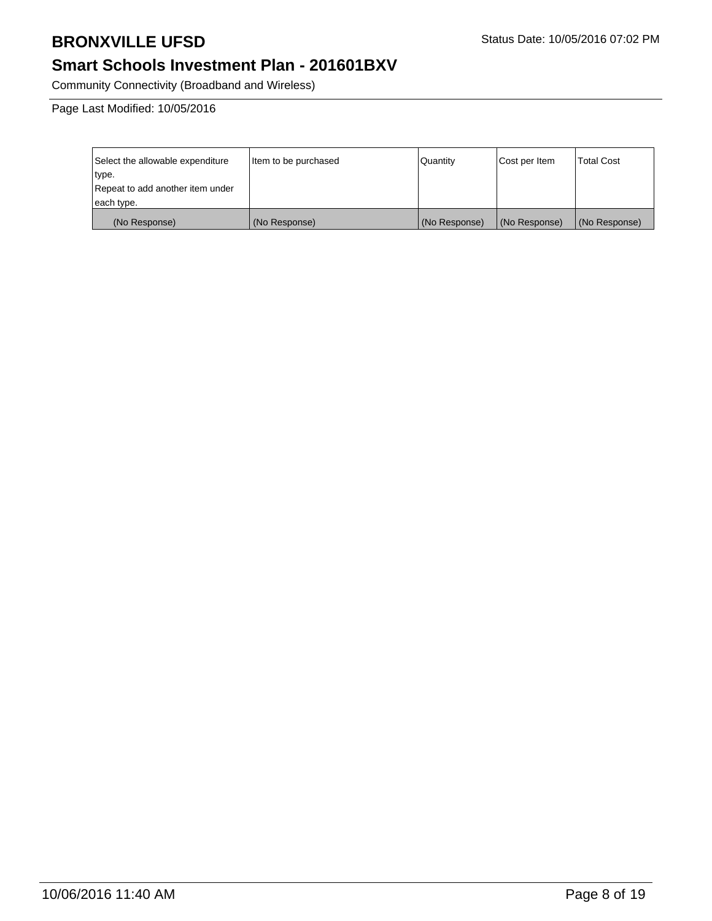# **Smart Schools Investment Plan - 201601BXV**

Community Connectivity (Broadband and Wireless)

Page Last Modified: 10/05/2016

| Select the allowable expenditure | Item to be purchased | Quantity      | Cost per Item | Total Cost    |
|----------------------------------|----------------------|---------------|---------------|---------------|
| type.                            |                      |               |               |               |
| Repeat to add another item under |                      |               |               |               |
| each type.                       |                      |               |               |               |
| (No Response)                    | (No Response)        | (No Response) | (No Response) | (No Response) |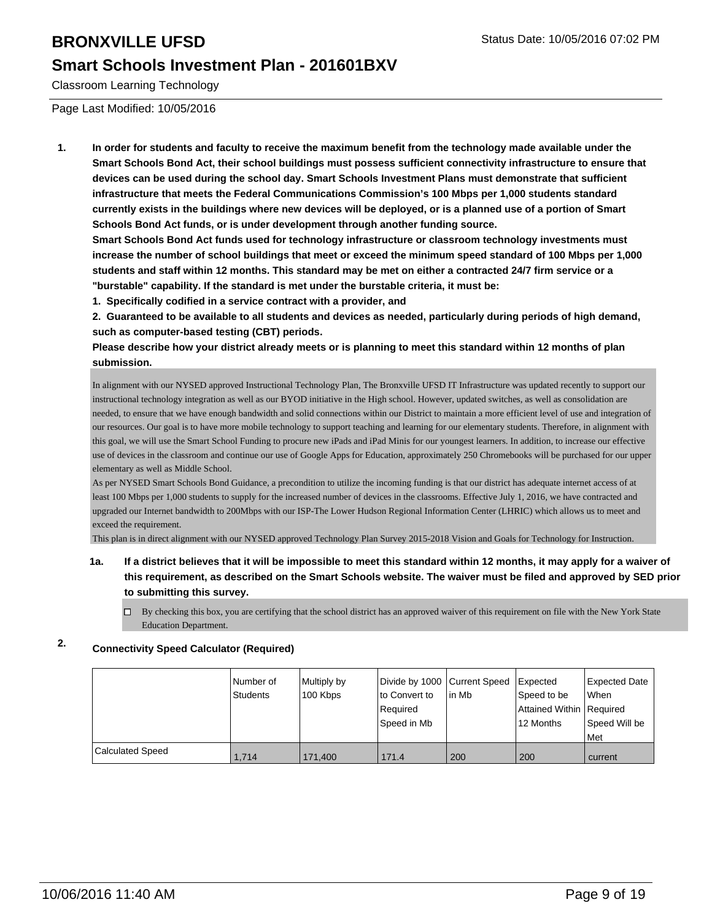## **Smart Schools Investment Plan - 201601BXV**

Classroom Learning Technology

Page Last Modified: 10/05/2016

**1. In order for students and faculty to receive the maximum benefit from the technology made available under the Smart Schools Bond Act, their school buildings must possess sufficient connectivity infrastructure to ensure that devices can be used during the school day. Smart Schools Investment Plans must demonstrate that sufficient infrastructure that meets the Federal Communications Commission's 100 Mbps per 1,000 students standard currently exists in the buildings where new devices will be deployed, or is a planned use of a portion of Smart Schools Bond Act funds, or is under development through another funding source.**

**Smart Schools Bond Act funds used for technology infrastructure or classroom technology investments must increase the number of school buildings that meet or exceed the minimum speed standard of 100 Mbps per 1,000 students and staff within 12 months. This standard may be met on either a contracted 24/7 firm service or a "burstable" capability. If the standard is met under the burstable criteria, it must be:**

**1. Specifically codified in a service contract with a provider, and**

**2. Guaranteed to be available to all students and devices as needed, particularly during periods of high demand, such as computer-based testing (CBT) periods.**

**Please describe how your district already meets or is planning to meet this standard within 12 months of plan submission.**

In alignment with our NYSED approved Instructional Technology Plan, The Bronxville UFSD IT Infrastructure was updated recently to support our instructional technology integration as well as our BYOD initiative in the High school. However, updated switches, as well as consolidation are needed, to ensure that we have enough bandwidth and solid connections within our District to maintain a more efficient level of use and integration of our resources. Our goal is to have more mobile technology to support teaching and learning for our elementary students. Therefore, in alignment with this goal, we will use the Smart School Funding to procure new iPads and iPad Minis for our youngest learners. In addition, to increase our effective use of devices in the classroom and continue our use of Google Apps for Education, approximately 250 Chromebooks will be purchased for our upper elementary as well as Middle School.

As per NYSED Smart Schools Bond Guidance, a precondition to utilize the incoming funding is that our district has adequate internet access of at least 100 Mbps per 1,000 students to supply for the increased number of devices in the classrooms. Effective July 1, 2016, we have contracted and upgraded our Internet bandwidth to 200Mbps with our ISP-The Lower Hudson Regional Information Center (LHRIC) which allows us to meet and exceed the requirement.

This plan is in direct alignment with our NYSED approved Technology Plan Survey 2015-2018 Vision and Goals for Technology for Instruction.

- **1a. If a district believes that it will be impossible to meet this standard within 12 months, it may apply for a waiver of this requirement, as described on the Smart Schools website. The waiver must be filed and approved by SED prior to submitting this survey.**
	- $\Box$  By checking this box, you are certifying that the school district has an approved waiver of this requirement on file with the New York State Education Department.

## **2. Connectivity Speed Calculator (Required)**

|                         | Number of<br>Students | Multiply by<br>100 Kbps | Divide by 1000 Current Speed Expected<br>Ito Convert to<br>Required<br>lSpeed in Mb | lin Mb | Speed to be<br>Attained Within   Required<br>12 Months | Expected Date<br><b>When</b><br>Speed Will be<br>l Met |
|-------------------------|-----------------------|-------------------------|-------------------------------------------------------------------------------------|--------|--------------------------------------------------------|--------------------------------------------------------|
| <b>Calculated Speed</b> | 1.714                 | 171,400                 | 171.4                                                                               | 200    | 200                                                    | current                                                |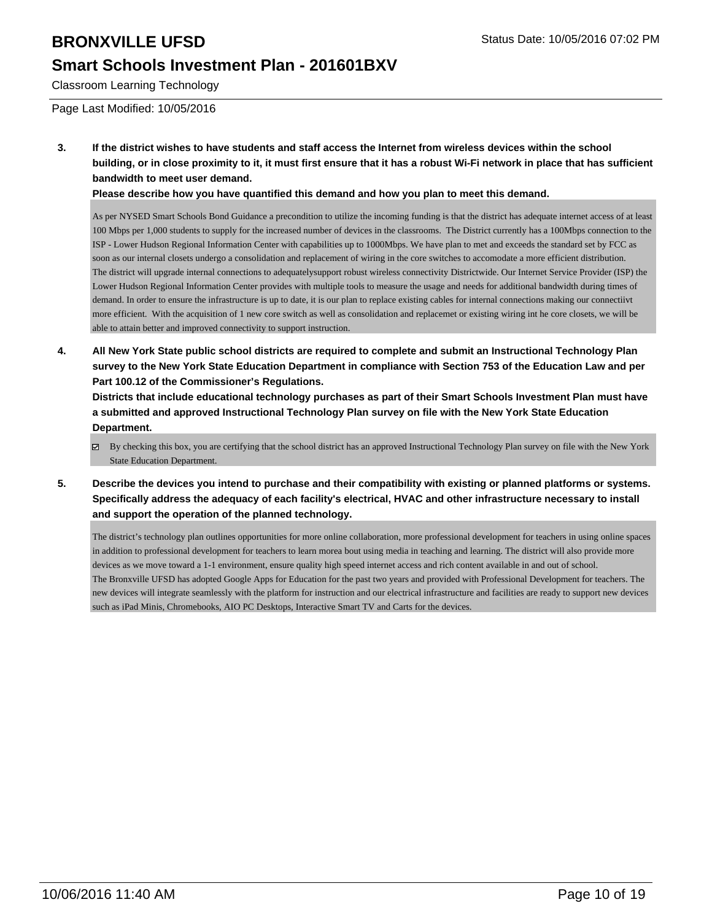## **Smart Schools Investment Plan - 201601BXV**

Classroom Learning Technology

Page Last Modified: 10/05/2016

**3. If the district wishes to have students and staff access the Internet from wireless devices within the school building, or in close proximity to it, it must first ensure that it has a robust Wi-Fi network in place that has sufficient bandwidth to meet user demand.**

**Please describe how you have quantified this demand and how you plan to meet this demand.**

As per NYSED Smart Schools Bond Guidance a precondition to utilize the incoming funding is that the district has adequate internet access of at least 100 Mbps per 1,000 students to supply for the increased number of devices in the classrooms. The District currently has a 100Mbps connection to the ISP - Lower Hudson Regional Information Center with capabilities up to 1000Mbps. We have plan to met and exceeds the standard set by FCC as soon as our internal closets undergo a consolidation and replacement of wiring in the core switches to accomodate a more efficient distribution. The district will upgrade internal connections to adequatelysupport robust wireless connectivity Districtwide. Our Internet Service Provider (ISP) the Lower Hudson Regional Information Center provides with multiple tools to measure the usage and needs for additional bandwidth during times of demand. In order to ensure the infrastructure is up to date, it is our plan to replace existing cables for internal connections making our connectiivt more efficient. With the acquisition of 1 new core switch as well as consolidation and replacemet or existing wiring int he core closets, we will be able to attain better and improved connectivity to support instruction.

**4. All New York State public school districts are required to complete and submit an Instructional Technology Plan survey to the New York State Education Department in compliance with Section 753 of the Education Law and per Part 100.12 of the Commissioner's Regulations.**

**Districts that include educational technology purchases as part of their Smart Schools Investment Plan must have a submitted and approved Instructional Technology Plan survey on file with the New York State Education Department.**

- By checking this box, you are certifying that the school district has an approved Instructional Technology Plan survey on file with the New York State Education Department.
- **5. Describe the devices you intend to purchase and their compatibility with existing or planned platforms or systems. Specifically address the adequacy of each facility's electrical, HVAC and other infrastructure necessary to install and support the operation of the planned technology.**

The district's technology plan outlines opportunities for more online collaboration, more professional development for teachers in using online spaces in addition to professional development for teachers to learn morea bout using media in teaching and learning. The district will also provide more devices as we move toward a 1-1 environment, ensure quality high speed internet access and rich content available in and out of school. The Bronxville UFSD has adopted Google Apps for Education for the past two years and provided with Professional Development for teachers. The new devices will integrate seamlessly with the platform for instruction and our electrical infrastructure and facilities are ready to support new devices such as iPad Minis, Chromebooks, AIO PC Desktops, Interactive Smart TV and Carts for the devices.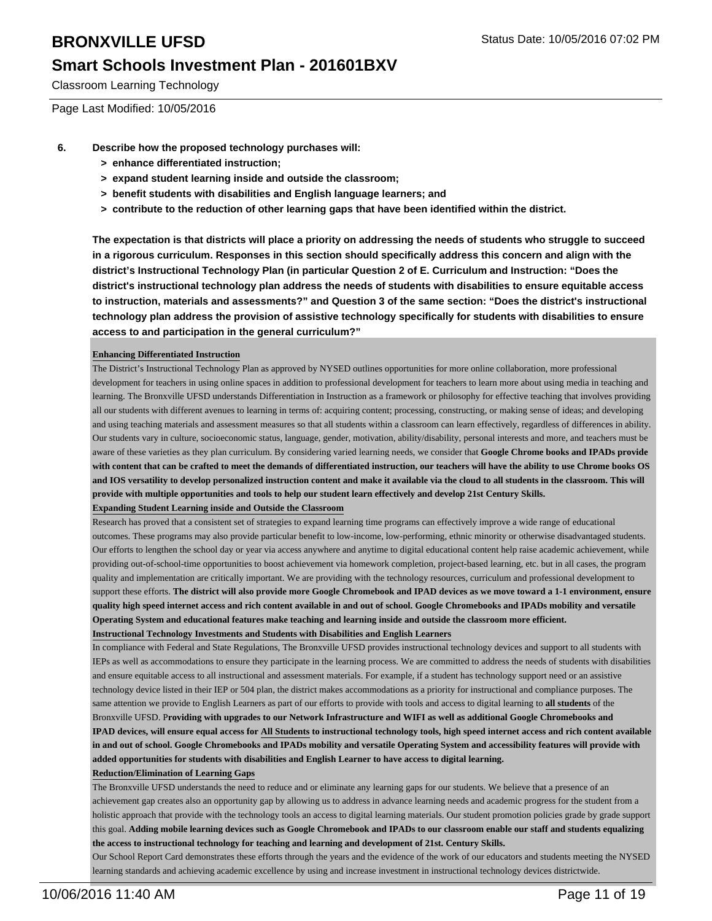## **Smart Schools Investment Plan - 201601BXV**

Classroom Learning Technology

Page Last Modified: 10/05/2016

- **6. Describe how the proposed technology purchases will:**
	- **> enhance differentiated instruction;**
	- **> expand student learning inside and outside the classroom;**
	- **> benefit students with disabilities and English language learners; and**
	- **> contribute to the reduction of other learning gaps that have been identified within the district.**

**The expectation is that districts will place a priority on addressing the needs of students who struggle to succeed in a rigorous curriculum. Responses in this section should specifically address this concern and align with the district's Instructional Technology Plan (in particular Question 2 of E. Curriculum and Instruction: "Does the district's instructional technology plan address the needs of students with disabilities to ensure equitable access to instruction, materials and assessments?" and Question 3 of the same section: "Does the district's instructional technology plan address the provision of assistive technology specifically for students with disabilities to ensure access to and participation in the general curriculum?"**

#### **Enhancing Differentiated Instruction**

The District's Instructional Technology Plan as approved by NYSED outlines opportunities for more online collaboration, more professional development for teachers in using online spaces in addition to professional development for teachers to learn more about using media in teaching and learning. The Bronxville UFSD understands Differentiation in Instruction as a framework or philosophy for effective teaching that involves providing all our students with different avenues to learning in terms of: acquiring content; processing, constructing, or making sense of ideas; and developing and using teaching materials and assessment measures so that all students within a classroom can learn effectively, regardless of differences in ability. Our students vary in culture, socioeconomic status, language, gender, motivation, ability/disability, personal interests and more, and teachers must be aware of these varieties as they plan curriculum. By considering varied learning needs, we consider that **Google Chrome books and IPADs provide with content that can be crafted to meet the demands of differentiated instruction, our teachers will have the ability to use Chrome books OS and IOS versatility to develop personalized instruction content and make it available via the cloud to all students in the classroom. This will provide with multiple opportunities and tools to help our student learn effectively and develop 21st Century Skills.**

#### **Expanding Student Learning inside and Outside the Classroom**

Research has proved that a consistent set of strategies to expand learning time programs can effectively improve a wide range of educational outcomes. These programs may also provide particular benefit to low-income, low-performing, ethnic minority or otherwise disadvantaged students. Our efforts to lengthen the school day or year via access anywhere and anytime to digital educational content help raise academic achievement, while providing out-of-school-time opportunities to boost achievement via homework completion, project-based learning, etc. but in all cases, the program quality and implementation are critically important. We are providing with the technology resources, curriculum and professional development to support these efforts. **The district will also provide more Google Chromebook and IPAD devices as we move toward a 1-1 environment, ensure quality high speed internet access and rich content available in and out of school. Google Chromebooks and IPADs mobility and versatile Operating System and educational features make teaching and learning inside and outside the classroom more efficient.**

**Instructional Technology Investments and Students with Disabilities and English Learners**

In compliance with Federal and State Regulations, The Bronxville UFSD provides instructional technology devices and support to all students with IEPs as well as accommodations to ensure they participate in the learning process. We are committed to address the needs of students with disabilities and ensure equitable access to all instructional and assessment materials. For example, if a student has technology support need or an assistive technology device listed in their IEP or 504 plan, the district makes accommodations as a priority for instructional and compliance purposes. The same attention we provide to English Learners as part of our efforts to provide with tools and access to digital learning to **all students** of the Bronxville UFSD. P**roviding with upgrades to our Network Infrastructure and WIFI as well as additional Google Chromebooks and IPAD devices, will ensure equal access for All Students to instructional technology tools, high speed internet access and rich content available in and out of school. Google Chromebooks and IPADs mobility and versatile Operating System and accessibility features will provide with added opportunities for students with disabilities and English Learner to have access to digital learning.** 

#### **Reduction/Elimination of Learning Gaps**

The Bronxville UFSD understands the need to reduce and or eliminate any learning gaps for our students. We believe that a presence of an achievement gap creates also an opportunity gap by allowing us to address in advance learning needs and academic progress for the student from a holistic approach that provide with the technology tools an access to digital learning materials. Our student promotion policies grade by grade support this goal. **Adding mobile learning devices such as Google Chromebook and IPADs to our classroom enable our staff and students equalizing the access to instructional technology for teaching and learning and development of 21st. Century Skills.**

Our School Report Card demonstrates these efforts through the years and the evidence of the work of our educators and students meeting the NYSED learning standards and achieving academic excellence by using and increase investment in instructional technology devices districtwide.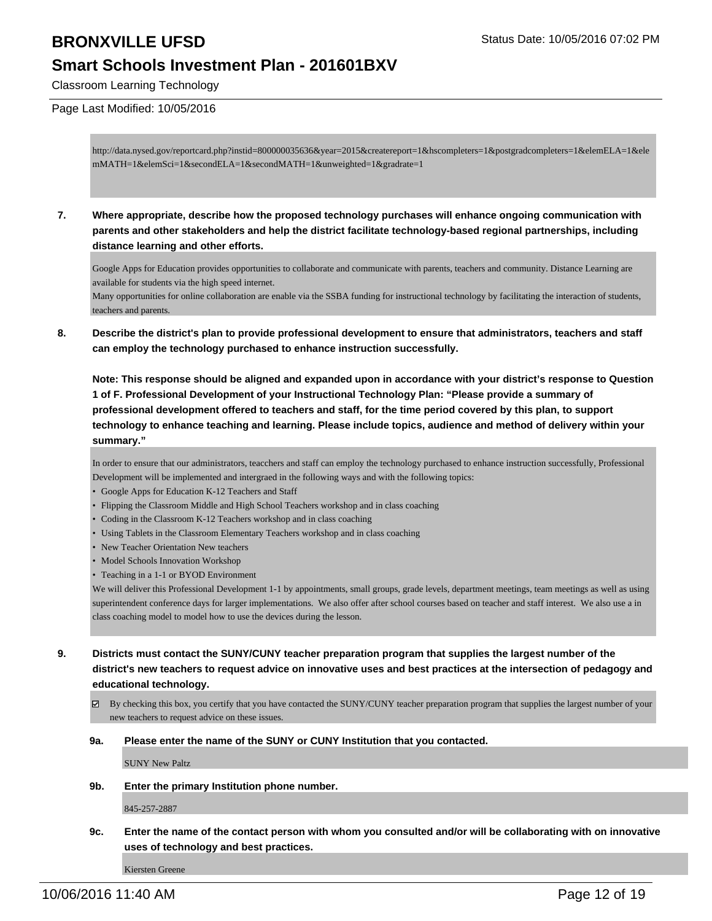## **Smart Schools Investment Plan - 201601BXV**

Classroom Learning Technology

#### Page Last Modified: 10/05/2016

http://data.nysed.gov/reportcard.php?instid=800000035636&year=2015&createreport=1&hscompleters=1&postgradcompleters=1&elemELA=1&ele mMATH=1&elemSci=1&secondELA=1&secondMATH=1&unweighted=1&gradrate=1

**7. Where appropriate, describe how the proposed technology purchases will enhance ongoing communication with parents and other stakeholders and help the district facilitate technology-based regional partnerships, including distance learning and other efforts.**

Google Apps for Education provides opportunities to collaborate and communicate with parents, teachers and community. Distance Learning are available for students via the high speed internet.

Many opportunities for online collaboration are enable via the SSBA funding for instructional technology by facilitating the interaction of students, teachers and parents.

**8. Describe the district's plan to provide professional development to ensure that administrators, teachers and staff can employ the technology purchased to enhance instruction successfully.**

**Note: This response should be aligned and expanded upon in accordance with your district's response to Question 1 of F. Professional Development of your Instructional Technology Plan: "Please provide a summary of professional development offered to teachers and staff, for the time period covered by this plan, to support technology to enhance teaching and learning. Please include topics, audience and method of delivery within your summary."**

In order to ensure that our administrators, teacchers and staff can employ the technology purchased to enhance instruction successfully, Professional Development will be implemented and intergraed in the following ways and with the following topics:

- Google Apps for Education K-12 Teachers and Staff
- Flipping the Classroom Middle and High School Teachers workshop and in class coaching
- Coding in the Classroom K-12 Teachers workshop and in class coaching
- Using Tablets in the Classroom Elementary Teachers workshop and in class coaching
- New Teacher Orientation New teachers
- Model Schools Innovation Workshop
- Teaching in a 1-1 or BYOD Environment

We will deliver this Professional Development 1-1 by appointments, small groups, grade levels, department meetings, team meetings as well as using superintendent conference days for larger implementations. We also offer after school courses based on teacher and staff interest. We also use a in class coaching model to model how to use the devices during the lesson.

- **9. Districts must contact the SUNY/CUNY teacher preparation program that supplies the largest number of the district's new teachers to request advice on innovative uses and best practices at the intersection of pedagogy and educational technology.**
	- $\boxtimes$  By checking this box, you certify that you have contacted the SUNY/CUNY teacher preparation program that supplies the largest number of your new teachers to request advice on these issues.
	- **9a. Please enter the name of the SUNY or CUNY Institution that you contacted.**

SUNY New Paltz

**9b. Enter the primary Institution phone number.**

845-257-2887

**9c. Enter the name of the contact person with whom you consulted and/or will be collaborating with on innovative uses of technology and best practices.**

Kiersten Greene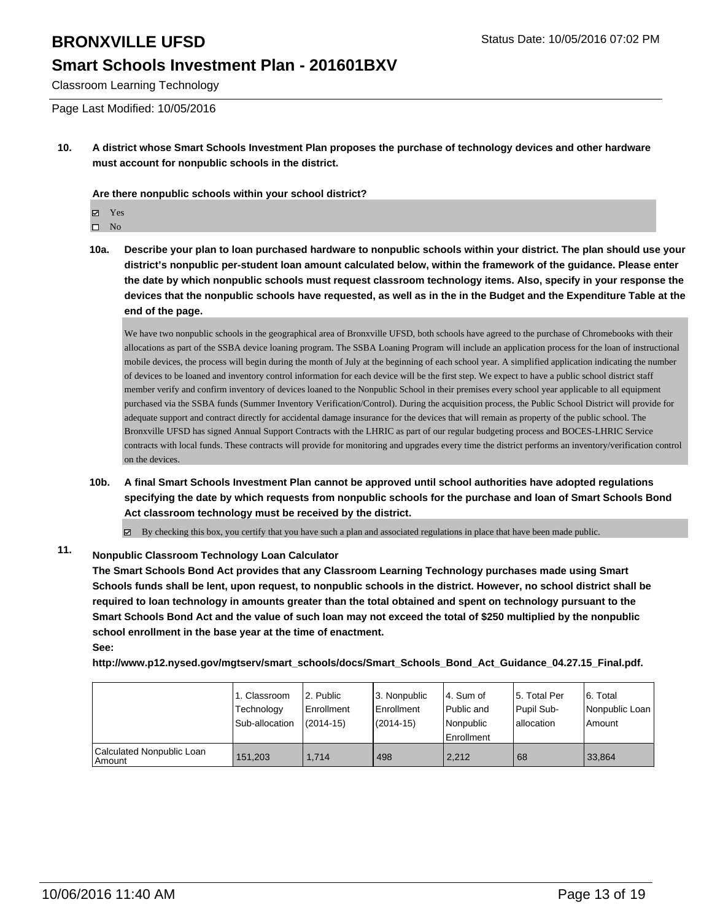## **Smart Schools Investment Plan - 201601BXV**

Classroom Learning Technology

Page Last Modified: 10/05/2016

**10. A district whose Smart Schools Investment Plan proposes the purchase of technology devices and other hardware must account for nonpublic schools in the district.**

**Are there nonpublic schools within your school district?**

**冈** Yes

 $\square$  No

**10a. Describe your plan to loan purchased hardware to nonpublic schools within your district. The plan should use your district's nonpublic per-student loan amount calculated below, within the framework of the guidance. Please enter the date by which nonpublic schools must request classroom technology items. Also, specify in your response the devices that the nonpublic schools have requested, as well as in the in the Budget and the Expenditure Table at the end of the page.**

We have two nonpublic schools in the geographical area of Bronxville UFSD, both schools have agreed to the purchase of Chromebooks with their allocations as part of the SSBA device loaning program. The SSBA Loaning Program will include an application process for the loan of instructional mobile devices, the process will begin during the month of July at the beginning of each school year. A simplified application indicating the number of devices to be loaned and inventory control information for each device will be the first step. We expect to have a public school district staff member verify and confirm inventory of devices loaned to the Nonpublic School in their premises every school year applicable to all equipment purchased via the SSBA funds (Summer Inventory Verification/Control). During the acquisition process, the Public School District will provide for adequate support and contract directly for accidental damage insurance for the devices that will remain as property of the public school. The Bronxville UFSD has signed Annual Support Contracts with the LHRIC as part of our regular budgeting process and BOCES-LHRIC Service contracts with local funds. These contracts will provide for monitoring and upgrades every time the district performs an inventory/verification control on the devices.

**10b. A final Smart Schools Investment Plan cannot be approved until school authorities have adopted regulations specifying the date by which requests from nonpublic schools for the purchase and loan of Smart Schools Bond Act classroom technology must be received by the district.**

 $\boxtimes$  By checking this box, you certify that you have such a plan and associated regulations in place that have been made public.

#### **11. Nonpublic Classroom Technology Loan Calculator**

**The Smart Schools Bond Act provides that any Classroom Learning Technology purchases made using Smart Schools funds shall be lent, upon request, to nonpublic schools in the district. However, no school district shall be required to loan technology in amounts greater than the total obtained and spent on technology pursuant to the Smart Schools Bond Act and the value of such loan may not exceed the total of \$250 multiplied by the nonpublic school enrollment in the base year at the time of enactment. See:**

**http://www.p12.nysed.gov/mgtserv/smart\_schools/docs/Smart\_Schools\_Bond\_Act\_Guidance\_04.27.15\_Final.pdf.**

|                                       | 1. Classroom<br>Technology<br>Sub-allocation | 2. Public<br>Enrollment<br>$(2014-15)$ | 3. Nonpublic<br>Enrollment<br>$(2014 - 15)$ | 4. Sum of<br>Public and<br>Nonpublic<br>l Enrollment | 15. Total Per<br>Pupil Sub-<br>lallocation | 6. Total<br>Nonpublic Loan<br>Amount |
|---------------------------------------|----------------------------------------------|----------------------------------------|---------------------------------------------|------------------------------------------------------|--------------------------------------------|--------------------------------------|
| Calculated Nonpublic Loan<br>  Amount | 151,203                                      | 1.714                                  | 498                                         | 2,212                                                | 68                                         | 33.864                               |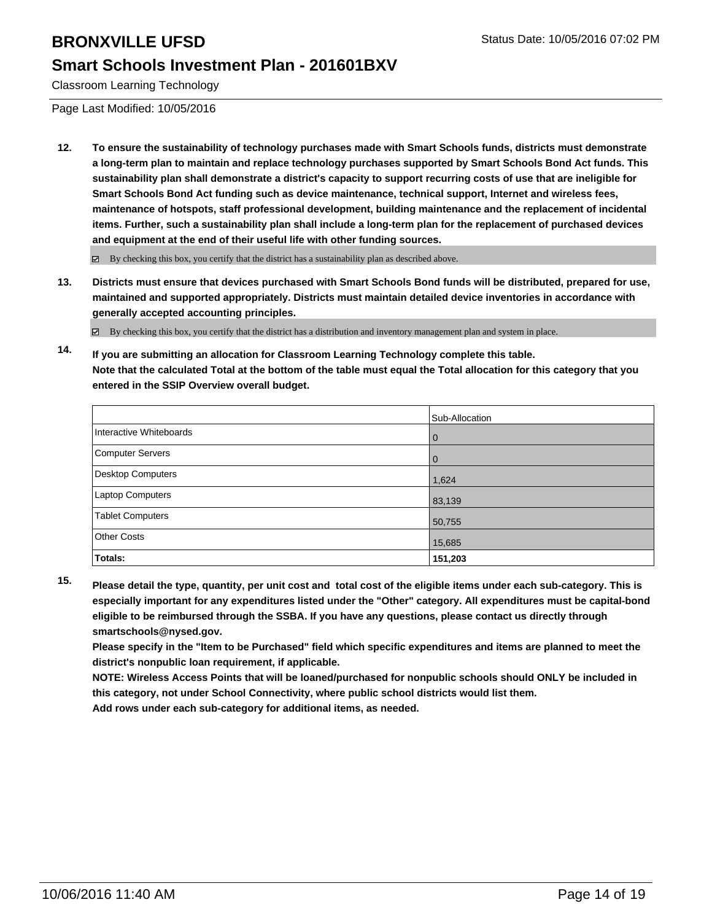## **Smart Schools Investment Plan - 201601BXV**

Classroom Learning Technology

Page Last Modified: 10/05/2016

**12. To ensure the sustainability of technology purchases made with Smart Schools funds, districts must demonstrate a long-term plan to maintain and replace technology purchases supported by Smart Schools Bond Act funds. This sustainability plan shall demonstrate a district's capacity to support recurring costs of use that are ineligible for Smart Schools Bond Act funding such as device maintenance, technical support, Internet and wireless fees, maintenance of hotspots, staff professional development, building maintenance and the replacement of incidental items. Further, such a sustainability plan shall include a long-term plan for the replacement of purchased devices and equipment at the end of their useful life with other funding sources.**

 $\boxtimes$  By checking this box, you certify that the district has a sustainability plan as described above.

**13. Districts must ensure that devices purchased with Smart Schools Bond funds will be distributed, prepared for use, maintained and supported appropriately. Districts must maintain detailed device inventories in accordance with generally accepted accounting principles.**

By checking this box, you certify that the district has a distribution and inventory management plan and system in place.

**14. If you are submitting an allocation for Classroom Learning Technology complete this table. Note that the calculated Total at the bottom of the table must equal the Total allocation for this category that you entered in the SSIP Overview overall budget.**

|                         | Sub-Allocation |
|-------------------------|----------------|
| Interactive Whiteboards | 0              |
| Computer Servers        |                |
| Desktop Computers       | 1,624          |
| Laptop Computers        | 83,139         |
| <b>Tablet Computers</b> | 50,755         |
| Other Costs             | 15,685         |
| <b>Totals:</b>          | 151,203        |

**15. Please detail the type, quantity, per unit cost and total cost of the eligible items under each sub-category. This is especially important for any expenditures listed under the "Other" category. All expenditures must be capital-bond eligible to be reimbursed through the SSBA. If you have any questions, please contact us directly through smartschools@nysed.gov.**

**Please specify in the "Item to be Purchased" field which specific expenditures and items are planned to meet the district's nonpublic loan requirement, if applicable.**

**NOTE: Wireless Access Points that will be loaned/purchased for nonpublic schools should ONLY be included in this category, not under School Connectivity, where public school districts would list them.**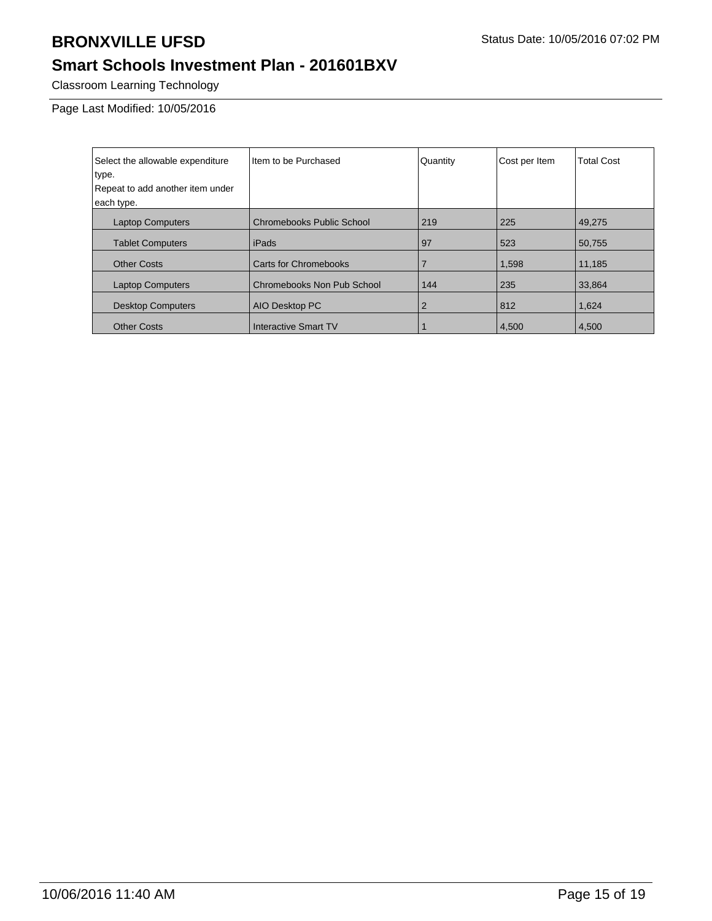# **Smart Schools Investment Plan - 201601BXV**

Classroom Learning Technology

Page Last Modified: 10/05/2016

| Select the allowable expenditure | Item to be Purchased             | Quantity | Cost per Item | <b>Total Cost</b> |
|----------------------------------|----------------------------------|----------|---------------|-------------------|
| type.                            |                                  |          |               |                   |
| Repeat to add another item under |                                  |          |               |                   |
| each type.                       |                                  |          |               |                   |
| <b>Laptop Computers</b>          | <b>Chromebooks Public School</b> | 219      | 225           | 49.275            |
| <b>Tablet Computers</b>          | iPads                            | 97       | 523           | 50,755            |
| <b>Other Costs</b>               | <b>Carts for Chromebooks</b>     |          | 1,598         | 11,185            |
| <b>Laptop Computers</b>          | Chromebooks Non Pub School       | 144      | 235           | 33.864            |
| <b>Desktop Computers</b>         | AIO Desktop PC                   | 2        | 812           | 1,624             |
| <b>Other Costs</b>               | Interactive Smart TV             |          | 4.500         | 4.500             |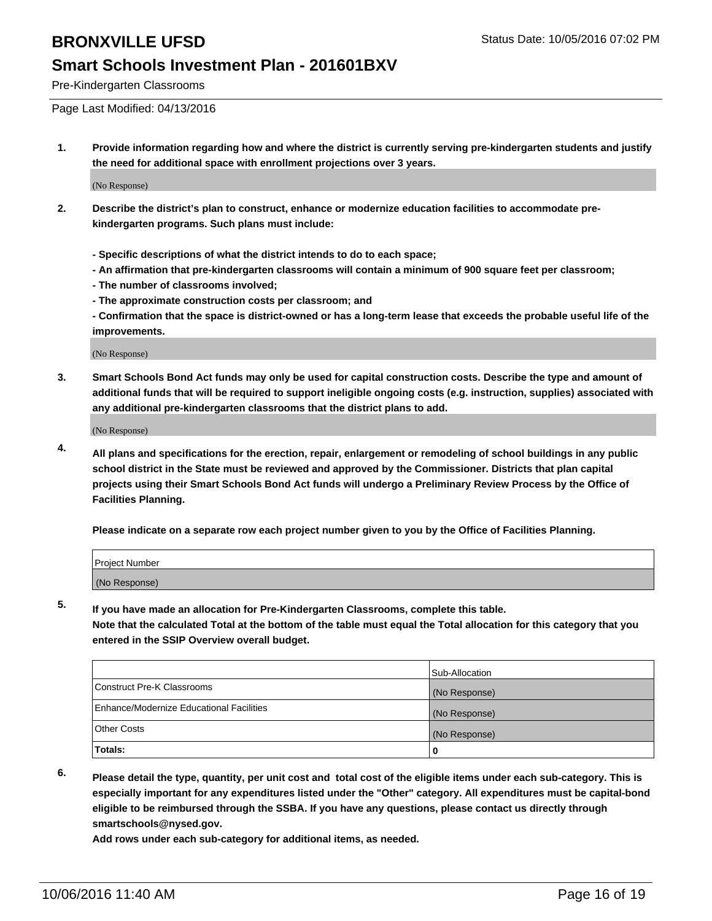Pre-Kindergarten Classrooms

Page Last Modified: 04/13/2016

**1. Provide information regarding how and where the district is currently serving pre-kindergarten students and justify the need for additional space with enrollment projections over 3 years.**

(No Response)

- **2. Describe the district's plan to construct, enhance or modernize education facilities to accommodate prekindergarten programs. Such plans must include:**
	- **Specific descriptions of what the district intends to do to each space;**
	- **An affirmation that pre-kindergarten classrooms will contain a minimum of 900 square feet per classroom;**
	- **The number of classrooms involved;**
	- **The approximate construction costs per classroom; and**
	- **Confirmation that the space is district-owned or has a long-term lease that exceeds the probable useful life of the improvements.**

(No Response)

**3. Smart Schools Bond Act funds may only be used for capital construction costs. Describe the type and amount of additional funds that will be required to support ineligible ongoing costs (e.g. instruction, supplies) associated with any additional pre-kindergarten classrooms that the district plans to add.**

(No Response)

**4. All plans and specifications for the erection, repair, enlargement or remodeling of school buildings in any public school district in the State must be reviewed and approved by the Commissioner. Districts that plan capital projects using their Smart Schools Bond Act funds will undergo a Preliminary Review Process by the Office of Facilities Planning.**

**Please indicate on a separate row each project number given to you by the Office of Facilities Planning.**

| Project Number |  |
|----------------|--|
| (No Response)  |  |

**5. If you have made an allocation for Pre-Kindergarten Classrooms, complete this table.**

**Note that the calculated Total at the bottom of the table must equal the Total allocation for this category that you entered in the SSIP Overview overall budget.**

|                                          | Sub-Allocation |
|------------------------------------------|----------------|
| Construct Pre-K Classrooms               | (No Response)  |
| Enhance/Modernize Educational Facilities | (No Response)  |
| Other Costs                              | (No Response)  |
| Totals:                                  |                |

**6. Please detail the type, quantity, per unit cost and total cost of the eligible items under each sub-category. This is especially important for any expenditures listed under the "Other" category. All expenditures must be capital-bond eligible to be reimbursed through the SSBA. If you have any questions, please contact us directly through smartschools@nysed.gov.**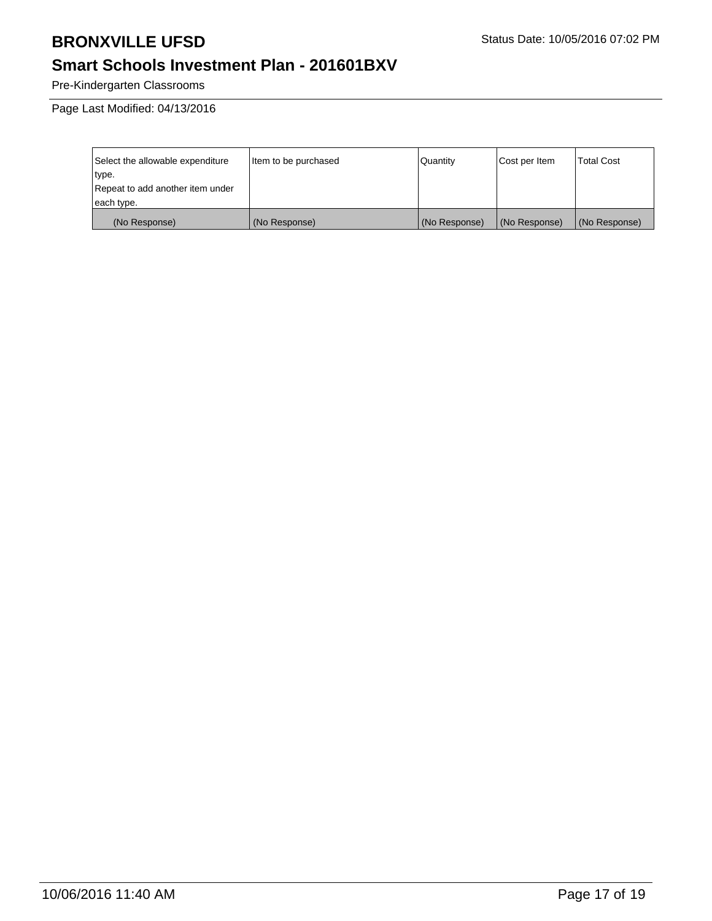# **Smart Schools Investment Plan - 201601BXV**

Pre-Kindergarten Classrooms

Page Last Modified: 04/13/2016

| Select the allowable expenditure | Item to be purchased | Quantity      | Cost per Item | <b>Total Cost</b> |
|----------------------------------|----------------------|---------------|---------------|-------------------|
| type.                            |                      |               |               |                   |
| Repeat to add another item under |                      |               |               |                   |
| each type.                       |                      |               |               |                   |
| (No Response)                    | (No Response)        | (No Response) | (No Response) | (No Response)     |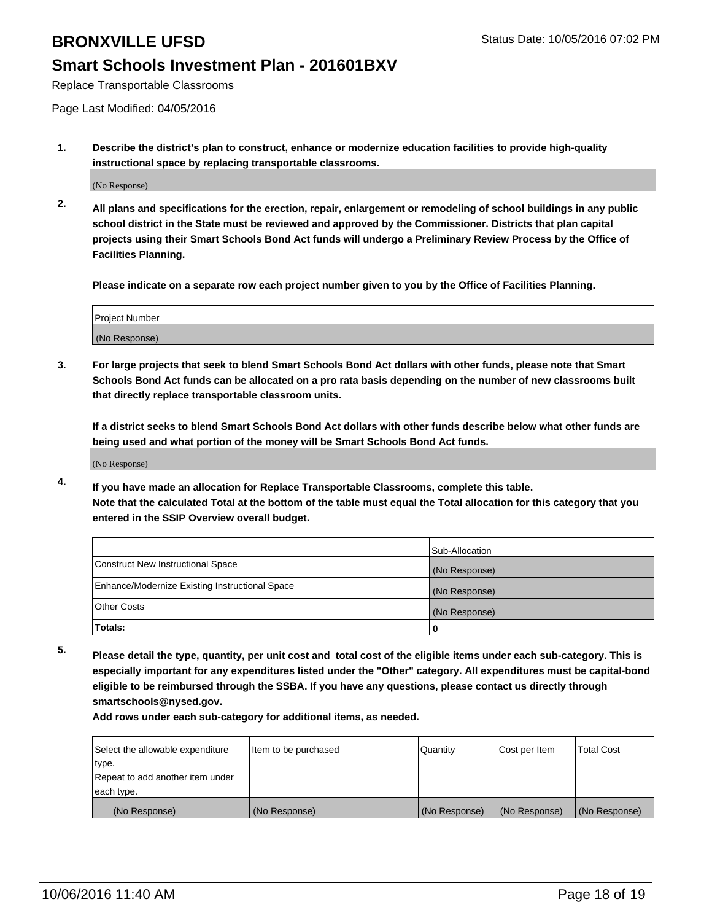Replace Transportable Classrooms

Page Last Modified: 04/05/2016

**1. Describe the district's plan to construct, enhance or modernize education facilities to provide high-quality instructional space by replacing transportable classrooms.**

(No Response)

**2. All plans and specifications for the erection, repair, enlargement or remodeling of school buildings in any public school district in the State must be reviewed and approved by the Commissioner. Districts that plan capital projects using their Smart Schools Bond Act funds will undergo a Preliminary Review Process by the Office of Facilities Planning.**

**Please indicate on a separate row each project number given to you by the Office of Facilities Planning.**

| Project Number |  |
|----------------|--|
| (No Response)  |  |

**3. For large projects that seek to blend Smart Schools Bond Act dollars with other funds, please note that Smart Schools Bond Act funds can be allocated on a pro rata basis depending on the number of new classrooms built that directly replace transportable classroom units.**

**If a district seeks to blend Smart Schools Bond Act dollars with other funds describe below what other funds are being used and what portion of the money will be Smart Schools Bond Act funds.**

(No Response)

**4. If you have made an allocation for Replace Transportable Classrooms, complete this table. Note that the calculated Total at the bottom of the table must equal the Total allocation for this category that you entered in the SSIP Overview overall budget.**

|                                                | Sub-Allocation |
|------------------------------------------------|----------------|
| Construct New Instructional Space              | (No Response)  |
| Enhance/Modernize Existing Instructional Space | (No Response)  |
| Other Costs                                    | (No Response)  |
| Totals:                                        | 0              |

**5. Please detail the type, quantity, per unit cost and total cost of the eligible items under each sub-category. This is especially important for any expenditures listed under the "Other" category. All expenditures must be capital-bond eligible to be reimbursed through the SSBA. If you have any questions, please contact us directly through smartschools@nysed.gov.**

| Select the allowable expenditure | Item to be purchased | Quantity      | Cost per Item | Total Cost    |
|----------------------------------|----------------------|---------------|---------------|---------------|
| type.                            |                      |               |               |               |
| Repeat to add another item under |                      |               |               |               |
| each type.                       |                      |               |               |               |
| (No Response)                    | (No Response)        | (No Response) | (No Response) | (No Response) |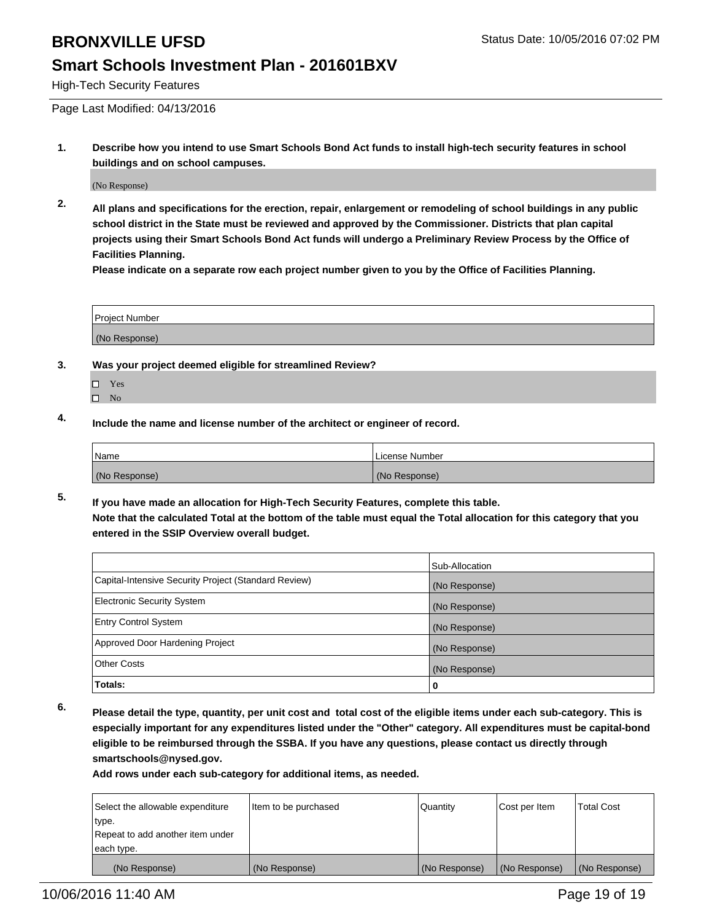#### **Smart Schools Investment Plan - 201601BXV**

High-Tech Security Features

Page Last Modified: 04/13/2016

**1. Describe how you intend to use Smart Schools Bond Act funds to install high-tech security features in school buildings and on school campuses.**

(No Response)

**2. All plans and specifications for the erection, repair, enlargement or remodeling of school buildings in any public school district in the State must be reviewed and approved by the Commissioner. Districts that plan capital projects using their Smart Schools Bond Act funds will undergo a Preliminary Review Process by the Office of Facilities Planning.** 

**Please indicate on a separate row each project number given to you by the Office of Facilities Planning.**

| <b>Project Number</b> |  |
|-----------------------|--|
| (No Response)         |  |

- **3. Was your project deemed eligible for streamlined Review?**
	- □ Yes
	- $\square$  No
- **4. Include the name and license number of the architect or engineer of record.**

| Name          | License Number |
|---------------|----------------|
| (No Response) | (No Response)  |

**5. If you have made an allocation for High-Tech Security Features, complete this table. Note that the calculated Total at the bottom of the table must equal the Total allocation for this category that you entered in the SSIP Overview overall budget.**

|                                                      | Sub-Allocation |
|------------------------------------------------------|----------------|
| Capital-Intensive Security Project (Standard Review) | (No Response)  |
| <b>Electronic Security System</b>                    | (No Response)  |
| <b>Entry Control System</b>                          | (No Response)  |
| Approved Door Hardening Project                      | (No Response)  |
| <b>Other Costs</b>                                   | (No Response)  |
| Totals:                                              | 0              |

**6. Please detail the type, quantity, per unit cost and total cost of the eligible items under each sub-category. This is especially important for any expenditures listed under the "Other" category. All expenditures must be capital-bond eligible to be reimbursed through the SSBA. If you have any questions, please contact us directly through smartschools@nysed.gov.**

| Select the allowable expenditure | Item to be purchased | Quantity      | Cost per Item | <b>Total Cost</b> |
|----------------------------------|----------------------|---------------|---------------|-------------------|
| type.                            |                      |               |               |                   |
| Repeat to add another item under |                      |               |               |                   |
| each type.                       |                      |               |               |                   |
| (No Response)                    | (No Response)        | (No Response) | (No Response) | (No Response)     |